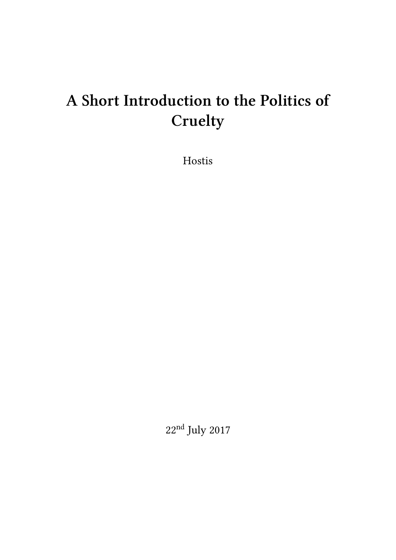# **A Short Introduction to the Politics of Cruelty**

Hostis

22nd July 2017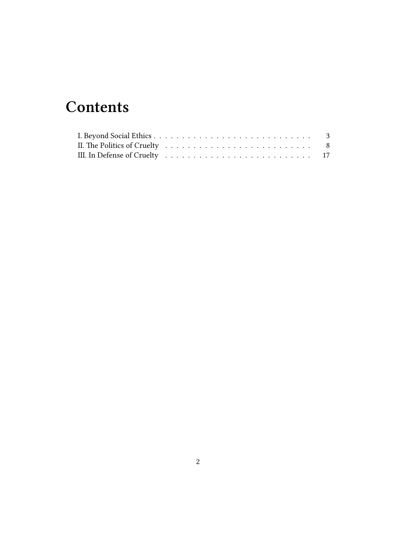## **Contents**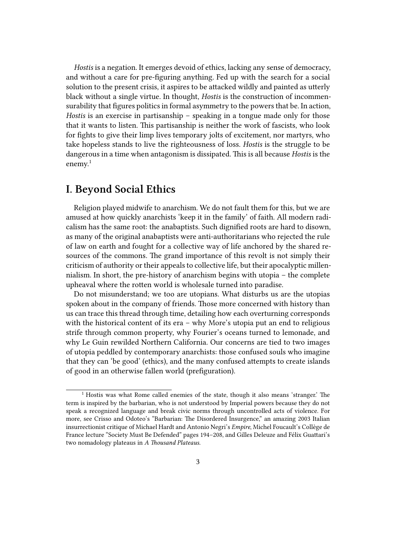*Hostis* is a negation. It emerges devoid of ethics, lacking any sense of democracy, and without a care for pre-figuring anything. Fed up with the search for a social solution to the present crisis, it aspires to be attacked wildly and painted as utterly black without a single virtue. In thought, *Hostis* is the construction of incommensurability that figures politics in formal asymmetry to the powers that be. In action, *Hostis* is an exercise in partisanship – speaking in a tongue made only for those that it wants to listen. This partisanship is neither the work of fascists, who look for fights to give their limp lives temporary jolts of excitement, nor martyrs, who take hopeless stands to live the righteousness of loss. *Hostis* is the struggle to be dangerous in a time when antagonism is dissipated. This is all because *Hostis* is the enemy.<sup>1</sup>

### **I. Beyond Social Ethics**

Religion played midwife to anarchism. We do not fault them for this, but we are amused at how quickly anarchists 'keep it in the family' of faith. All modern radicalism has the same root: the anabaptists. Such dignified roots are hard to disown, as many of the original anabaptists were anti-authoritarians who rejected the rule of law on earth and fought for a collective way of life anchored by the shared resources of the commons. The grand importance of this revolt is not simply their criticism of authority or their appeals to collective life, but their apocalyptic millennialism. In short, the pre-history of anarchism begins with utopia – the complete upheaval where the rotten world is wholesale turned into paradise.

Do not misunderstand; we too are utopians. What disturbs us are the utopias spoken about in the company of friends. Those more concerned with history than us can trace this thread through time, detailing how each overturning corresponds with the historical content of its era – why More's utopia put an end to religious strife through common property, why Fourier's oceans turned to lemonade, and why Le Guin rewilded Northern California. Our concerns are tied to two images of utopia peddled by contemporary anarchists: those confused souls who imagine that they can 'be good' (ethics), and the many confused attempts to create islands of good in an otherwise fallen world (prefiguration).

<sup>&</sup>lt;sup>1</sup> Hostis was what Rome called enemies of the state, though it also means 'stranger.' The term is inspired by the barbarian, who is not understood by Imperial powers because they do not speak a recognized language and break civic norms through uncontrolled acts of violence. For more, see Crisso and Odoteo's "Barbarian: The Disordered Insurgence," an amazing 2003 Italian insurrectionist critique of Michael Hardt and Antonio Negri's *Empire*, Michel Foucault's Collège de France lecture "Society Must Be Defended" pages 194–208, and Gilles Deleuze and Félix Guattari's two nomadology plateaus in *A Thousand Plateaus*.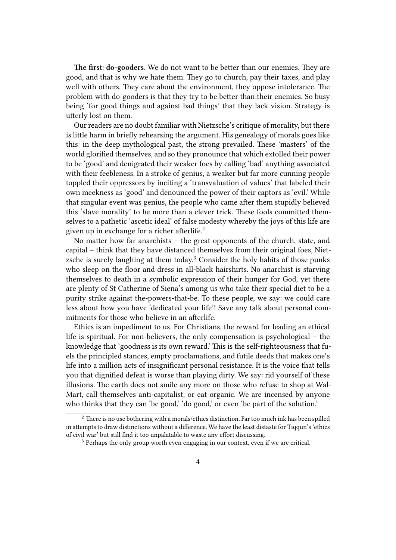**The first: do-gooders.** We do not want to be better than our enemies. They are good, and that is why we hate them. They go to church, pay their taxes, and play well with others. They care about the environment, they oppose intolerance. The problem with do-gooders is that they try to be better than their enemies. So busy being 'for good things and against bad things' that they lack vision. Strategy is utterly lost on them.

Our readers are no doubt familiar with Nietzsche's critique of morality, but there is little harm in briefly rehearsing the argument. His genealogy of morals goes like this: in the deep mythological past, the strong prevailed. These 'masters' of the world glorified themselves, and so they pronounce that which extolled their power to be 'good' and denigrated their weaker foes by calling 'bad' anything associated with their feebleness. In a stroke of genius, a weaker but far more cunning people toppled their oppressors by inciting a 'transvaluation of values' that labeled their own meekness as 'good' and denounced the power of their captors as 'evil.' While that singular event was genius, the people who came after them stupidly believed this 'slave morality' to be more than a clever trick. These fools committed themselves to a pathetic 'ascetic ideal' of false modesty whereby the joys of this life are given up in exchange for a richer afterlife.<sup>2</sup>

No matter how far anarchists – the great opponents of the church, state, and capital – think that they have distanced themselves from their original foes, Nietzsche is surely laughing at them today.<sup>3</sup> Consider the holy habits of those punks who sleep on the floor and dress in all-black hairshirts. No anarchist is starving themselves to death in a symbolic expression of their hunger for God, yet there are plenty of St Catherine of Siena's among us who take their special diet to be a purity strike against the-powers-that-be. To these people, we say: we could care less about how you have 'dedicated your life'! Save any talk about personal commitments for those who believe in an afterlife.

Ethics is an impediment to us. For Christians, the reward for leading an ethical life is spiritual. For non-believers, the only compensation is psychological – the knowledge that 'goodness is its own reward.' This is the self-righteousness that fuels the principled stances, empty proclamations, and futile deeds that makes one's life into a million acts of insignificant personal resistance. It is the voice that tells you that dignified defeat is worse than playing dirty. We say: rid yourself of these illusions. The earth does not smile any more on those who refuse to shop at Wal-Mart, call themselves anti-capitalist, or eat organic. We are incensed by anyone who thinks that they can 'be good,' 'do good,' or even 'be part of the solution.'

 $2$  There is no use bothering with a morals/ethics distinction. Far too much ink has been spilled in attempts to draw distinctions without a difference. We have the least distaste for Tigqun's 'ethics of civil war' but still find it too unpalatable to waste any effort discussing.

<sup>&</sup>lt;sup>3</sup> Perhaps the only group worth even engaging in our context, even if we are critical.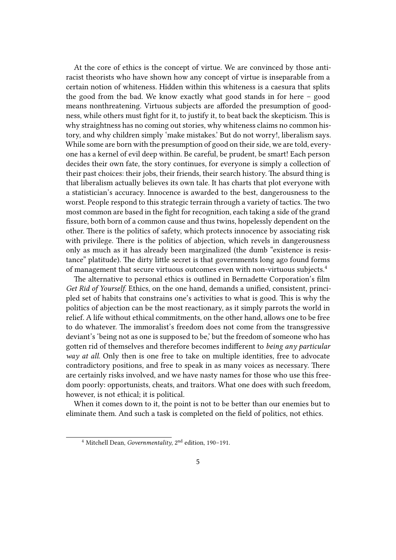At the core of ethics is the concept of virtue. We are convinced by those antiracist theorists who have shown how any concept of virtue is inseparable from a certain notion of whiteness. Hidden within this whiteness is a caesura that splits the good from the bad. We know exactly what good stands in for here – good means nonthreatening. Virtuous subjects are afforded the presumption of goodness, while others must fight for it, to justify it, to beat back the skepticism. This is why straightness has no coming out stories, why whiteness claims no common history, and why children simply 'make mistakes.' But do not worry!, liberalism says. While some are born with the presumption of good on their side, we are told, everyone has a kernel of evil deep within. Be careful, be prudent, be smart! Each person decides their own fate, the story continues, for everyone is simply a collection of their past choices: their jobs, their friends, their search history. The absurd thing is that liberalism actually believes its own tale. It has charts that plot everyone with a statistician's accuracy. Innocence is awarded to the best, dangerousness to the worst. People respond to this strategic terrain through a variety of tactics. The two most common are based in the fight for recognition, each taking a side of the grand fissure, both born of a common cause and thus twins, hopelessly dependent on the other. There is the politics of safety, which protects innocence by associating risk with privilege. There is the politics of abjection, which revels in dangerousness only as much as it has already been marginalized (the dumb "existence is resistance" platitude). The dirty little secret is that governments long ago found forms of management that secure virtuous outcomes even with non-virtuous subjects.<sup>4</sup>

The alternative to personal ethics is outlined in Bernadette Corporation's film *Get Rid of Yourself.* Ethics, on the one hand, demands a unified, consistent, principled set of habits that constrains one's activities to what is good. This is why the politics of abjection can be the most reactionary, as it simply parrots the world in relief. A life without ethical commitments, on the other hand, allows one to be free to do whatever. The immoralist's freedom does not come from the transgressive deviant's 'being not as one is supposed to be,' but the freedom of someone who has gotten rid of themselves and therefore becomes indifferent to *being any particular way at all*. Only then is one free to take on multiple identities, free to advocate contradictory positions, and free to speak in as many voices as necessary. There are certainly risks involved, and we have nasty names for those who use this freedom poorly: opportunists, cheats, and traitors. What one does with such freedom, however, is not ethical; it is political.

When it comes down to it, the point is not to be better than our enemies but to eliminate them. And such a task is completed on the field of politics, not ethics.

<sup>4</sup> Mitchell Dean, *Governmentality*, 2nd edition, 190–191.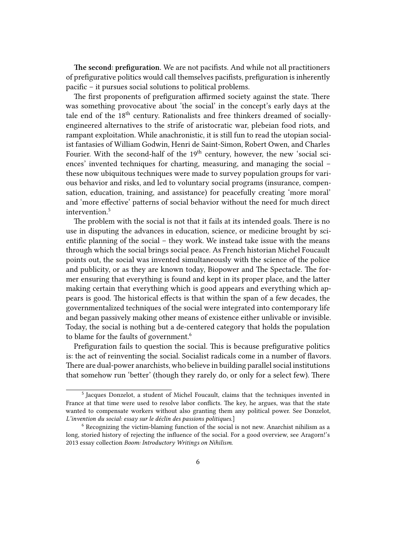**The second: prefiguration.** We are not pacifists. And while not all practitioners of prefigurative politics would call themselves pacifists, prefiguration is inherently pacific – it pursues social solutions to political problems.

The first proponents of prefiguration affirmed society against the state. There was something provocative about 'the social' in the concept's early days at the tale end of the 18<sup>th</sup> century. Rationalists and free thinkers dreamed of sociallyengineered alternatives to the strife of aristocratic war, plebeian food riots, and rampant exploitation. While anachronistic, it is still fun to read the utopian socialist fantasies of William Godwin, Henri de Saint-Simon, Robert Owen, and Charles Fourier. With the second-half of the 19<sup>th</sup> century, however, the new 'social sciences' invented techniques for charting, measuring, and managing the social – these now ubiquitous techniques were made to survey population groups for various behavior and risks, and led to voluntary social programs (insurance, compensation, education, training, and assistance) for peacefully creating 'more moral' and 'more effective' patterns of social behavior without the need for much direct intervention.<sup>5</sup>

The problem with the social is not that it fails at its intended goals. There is no use in disputing the advances in education, science, or medicine brought by scientific planning of the social – they work. We instead take issue with the means through which the social brings social peace. As French historian Michel Foucault points out, the social was invented simultaneously with the science of the police and publicity, or as they are known today, Biopower and The Spectacle. The former ensuring that everything is found and kept in its proper place, and the latter making certain that everything which is good appears and everything which appears is good. The historical effects is that within the span of a few decades, the governmentalized techniques of the social were integrated into contemporary life and began passively making other means of existence either unlivable or invisible. Today, the social is nothing but a de-centered category that holds the population to blame for the faults of government.<sup>6</sup>

Prefiguration fails to question the social. This is because prefigurative politics is: the act of reinventing the social. Socialist radicals come in a number of flavors. There are dual-power anarchists, who believe in building parallel social institutions that somehow run 'better' (though they rarely do, or only for a select few). There

<sup>&</sup>lt;sup>5</sup> Jacques Donzelot, a student of Michel Foucault, claims that the techniques invented in France at that time were used to resolve labor conflicts. The key, he argues, was that the state wanted to compensate workers without also granting them any political power. See Donzelot, *L'invention du social: essay sur le déclin des passions politiques*.]

 $6$  Recognizing the victim-blaming function of the social is not new. Anarchist nihilism as a long, storied history of rejecting the influence of the social. For a good overview, see Aragorn!'s 2013 essay collection *Boom: Introductory Writings on Nihilism*.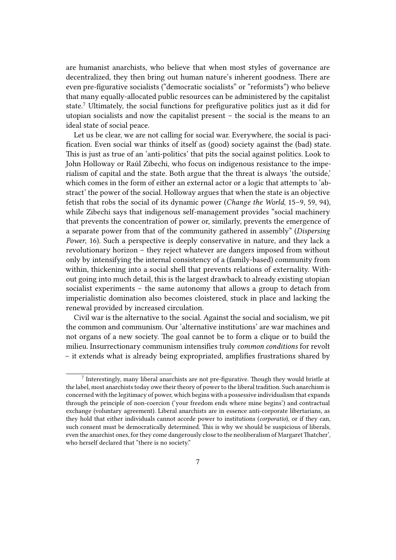are humanist anarchists, who believe that when most styles of governance are decentralized, they then bring out human nature's inherent goodness. There are even pre-figurative socialists ("democratic socialists" or "reformists") who believe that many equally-allocated public resources can be administered by the capitalist state.<sup>7</sup> Ultimately, the social functions for prefigurative politics just as it did for utopian socialists and now the capitalist present – the social is the means to an ideal state of social peace.

Let us be clear, we are not calling for social war. Everywhere, the social is pacification. Even social war thinks of itself as (good) society against the (bad) state. This is just as true of an 'anti-politics' that pits the social against politics. Look to John Holloway or Raúl Zibechi, who focus on indigenous resistance to the imperialism of capital and the state. Both argue that the threat is always 'the outside,' which comes in the form of either an external actor or a logic that attempts to 'abstract' the power of the social. Holloway argues that when the state is an objective fetish that robs the social of its dynamic power (*Change the World*, 15–9, 59, 94), while Zibechi says that indigenous self-management provides "social machinery that prevents the concentration of power or, similarly, prevents the emergence of a separate power from that of the community gathered in assembly" (*Dispersing Power*, 16). Such a perspective is deeply conservative in nature, and they lack a revolutionary horizon – they reject whatever are dangers imposed from without only by intensifying the internal consistency of a (family-based) community from within, thickening into a social shell that prevents relations of externality. Without going into much detail, this is the largest drawback to already existing utopian socialist experiments – the same autonomy that allows a group to detach from imperialistic domination also becomes cloistered, stuck in place and lacking the renewal provided by increased circulation.

Civil war is the alternative to the social. Against the social and socialism, we pit the common and communism. Our 'alternative institutions' are war machines and not organs of a new society. The goal cannot be to form a clique or to build the milieu. Insurrectionary communism intensifies truly *common conditions* for revolt – it extends what is already being expropriated, amplifies frustrations shared by

<sup>&</sup>lt;sup>7</sup> Interestingly, many liberal anarchists are not pre-figurative. Though they would bristle at the label, most anarchists today owe their theory of power to the liberal tradition. Such anarchism is concerned with the legitimacy of power, which begins with a possessive individualism that expands through the principle of non-coercion ('your freedom ends where mine begins') and contractual exchange (voluntary agreement). Liberal anarchists are in essence anti-corporate libertarians, as they hold that either individuals cannot accede power to institutions (*corporatio*), or if they can, such consent must be democratically determined. This is why we should be suspicious of liberals, even the anarchist ones, for they come dangerously close to the neoliberalism of Margaret Thatcher', who herself declared that "there is no society."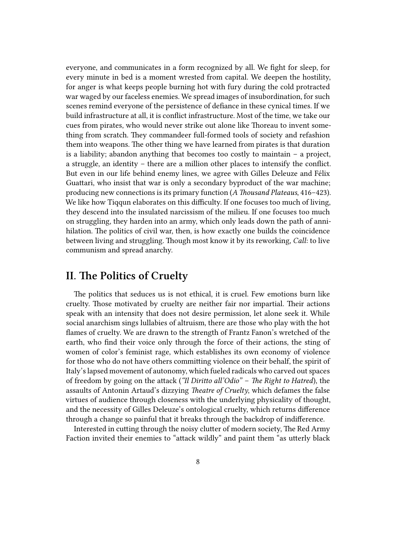everyone, and communicates in a form recognized by all. We fight for sleep, for every minute in bed is a moment wrested from capital. We deepen the hostility, for anger is what keeps people burning hot with fury during the cold protracted war waged by our faceless enemies. We spread images of insubordination, for such scenes remind everyone of the persistence of defiance in these cynical times. If we build infrastructure at all, it is conflict infrastructure. Most of the time, we take our cues from pirates, who would never strike out alone like Thoreau to invent something from scratch. They commandeer full-formed tools of society and refashion them into weapons. The other thing we have learned from pirates is that duration is a liability; abandon anything that becomes too costly to maintain – a project, a struggle, an identity – there are a million other places to intensify the conflict. But even in our life behind enemy lines, we agree with Gilles Deleuze and Félix Guattari, who insist that war is only a secondary byproduct of the war machine; producing new connections is its primary function (*A Thousand Plateaus*, 416–423). We like how Tiqqun elaborates on this difficulty. If one focuses too much of living, they descend into the insulated narcissism of the milieu. If one focuses too much on struggling, they harden into an army, which only leads down the path of annihilation. The politics of civil war, then, is how exactly one builds the coincidence between living and struggling. Though most know it by its reworking, *Call*: to live communism and spread anarchy.

#### **II. The Politics of Cruelty**

The politics that seduces us is not ethical, it is cruel. Few emotions burn like cruelty. Those motivated by cruelty are neither fair nor impartial. Their actions speak with an intensity that does not desire permission, let alone seek it. While social anarchism sings lullabies of altruism, there are those who play with the hot flames of cruelty. We are drawn to the strength of Frantz Fanon's wretched of the earth, who find their voice only through the force of their actions, the sting of women of color's feminist rage, which establishes its own economy of violence for those who do not have others committing violence on their behalf, the spirit of Italy's lapsed movement of autonomy, which fueled radicals who carved out spaces of freedom by going on the attack (*"Il Diritto all'Odio"* – *The Right to Hatred*), the assaults of Antonin Artaud's dizzying *Theatre of Cruelty*, which defames the false virtues of audience through closeness with the underlying physicality of thought, and the necessity of Gilles Deleuze's ontological cruelty, which returns difference through a change so painful that it breaks through the backdrop of indifference.

Interested in cutting through the noisy clutter of modern society, The Red Army Faction invited their enemies to "attack wildly" and paint them "as utterly black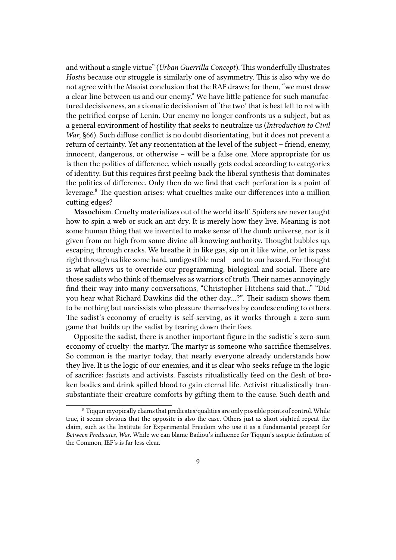and without a single virtue" (*Urban Guerrilla Concept*). This wonderfully illustrates *Hostis* because our struggle is similarly one of asymmetry. This is also why we do not agree with the Maoist conclusion that the RAF draws; for them, "we must draw a clear line between us and our enemy." We have little patience for such manufactured decisiveness, an axiomatic decisionism of 'the two' that is best left to rot with the petrified corpse of Lenin. Our enemy no longer confronts us a subject, but as a general environment of hostility that seeks to neutralize us (*Introduction to Civil War*, §66). Such diffuse conflict is no doubt disorientating, but it does not prevent a return of certainty. Yet any reorientation at the level of the subject – friend, enemy, innocent, dangerous, or otherwise – will be a false one. More appropriate for us is then the politics of difference, which usually gets coded according to categories of identity. But this requires first peeling back the liberal synthesis that dominates the politics of difference. Only then do we find that each perforation is a point of leverage.<sup>8</sup> The question arises: what cruelties make our differences into a million cutting edges?

**Masochism**. Cruelty materializes out of the world itself. Spiders are never taught how to spin a web or suck an ant dry. It is merely how they live. Meaning is not some human thing that we invented to make sense of the dumb universe, nor is it given from on high from some divine all-knowing authority. Thought bubbles up, escaping through cracks. We breathe it in like gas, sip on it like wine, or let is pass right through us like some hard, undigestible meal – and to our hazard. For thought is what allows us to override our programming, biological and social. There are those sadists who think of themselves as warriors of truth. Their names annoyingly find their way into many conversations, "Christopher Hitchens said that…" "Did you hear what Richard Dawkins did the other day…?". Their sadism shows them to be nothing but narcissists who pleasure themselves by condescending to others. The sadist's economy of cruelty is self-serving, as it works through a zero-sum game that builds up the sadist by tearing down their foes.

Opposite the sadist, there is another important figure in the sadistic's zero-sum economy of cruelty: the martyr. The martyr is someone who sacrifice themselves. So common is the martyr today, that nearly everyone already understands how they live. It is the logic of our enemies, and it is clear who seeks refuge in the logic of sacrifice: fascists and activists. Fascists ritualistically feed on the flesh of broken bodies and drink spilled blood to gain eternal life. Activist ritualistically transubstantiate their creature comforts by gifting them to the cause. Such death and

 $8$  Tiqqun myopically claims that predicates/qualities are only possible points of control. While true, it seems obvious that the opposite is also the case. Others just as short-sighted repeat the claim, such as the Institute for Experimental Freedom who use it as a fundamental precept for *Between Predicates, War*. While we can blame Badiou's influence for Tiqqun's aseptic definition of the Common, IEF's is far less clear.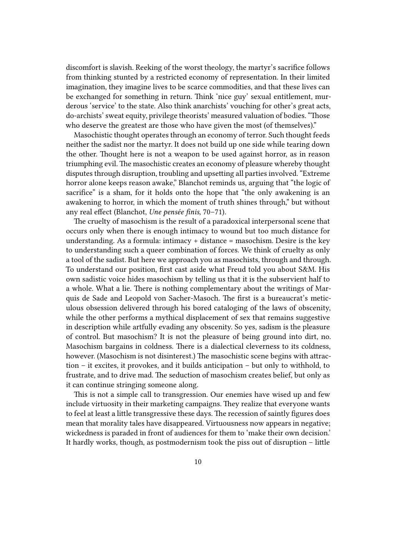discomfort is slavish. Reeking of the worst theology, the martyr's sacrifice follows from thinking stunted by a restricted economy of representation. In their limited imagination, they imagine lives to be scarce commodities, and that these lives can be exchanged for something in return. Think 'nice guy' sexual entitlement, murderous 'service' to the state. Also think anarchists' vouching for other's great acts, do-archists' sweat equity, privilege theorists' measured valuation of bodies. "Those who deserve the greatest are those who have given the most (of themselves)."

Masochistic thought operates through an economy of terror. Such thought feeds neither the sadist nor the martyr. It does not build up one side while tearing down the other. Thought here is not a weapon to be used against horror, as in reason triumphing evil. The masochistic creates an economy of pleasure whereby thought disputes through disruption, troubling and upsetting all parties involved. "Extreme horror alone keeps reason awake," Blanchot reminds us, arguing that "the logic of sacrifice" is a sham, for it holds onto the hope that "the only awakening is an awakening to horror, in which the moment of truth shines through," but without any real effect (Blanchot, *Une pensée finis*, 70–71).

The cruelty of masochism is the result of a paradoxical interpersonal scene that occurs only when there is enough intimacy to wound but too much distance for understanding. As a formula: intimacy + distance = masochism. Desire is the key to understanding such a queer combination of forces. We think of cruelty as only a tool of the sadist. But here we approach you as masochists, through and through. To understand our position, first cast aside what Freud told you about S&M. His own sadistic voice hides masochism by telling us that it is the subservient half to a whole. What a lie. There is nothing complementary about the writings of Marquis de Sade and Leopold von Sacher-Masoch. The first is a bureaucrat's meticulous obsession delivered through his bored cataloging of the laws of obscenity, while the other performs a mythical displacement of sex that remains suggestive in description while artfully evading any obscenity. So yes, sadism is the pleasure of control. But masochism? It is not the pleasure of being ground into dirt, no. Masochism bargains in coldness. There is a dialectical cleverness to its coldness, however. (Masochism is not disinterest.) The masochistic scene begins with attraction – it excites, it provokes, and it builds anticipation – but only to withhold, to frustrate, and to drive mad. The seduction of masochism creates belief, but only as it can continue stringing someone along.

This is not a simple call to transgression. Our enemies have wised up and few include virtuosity in their marketing campaigns. They realize that everyone wants to feel at least a little transgressive these days. The recession of saintly figures does mean that morality tales have disappeared. Virtuousness now appears in negative; wickedness is paraded in front of audiences for them to 'make their own decision.' It hardly works, though, as postmodernism took the piss out of disruption – little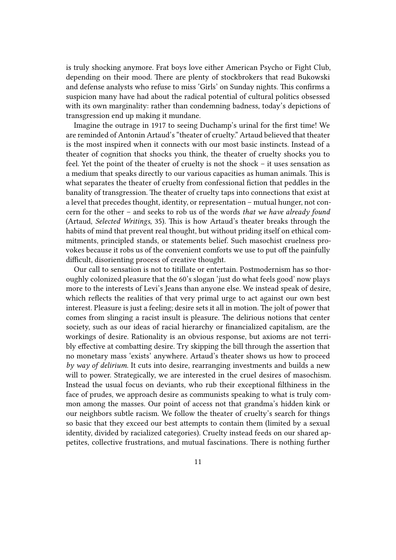is truly shocking anymore. Frat boys love either American Psycho or Fight Club, depending on their mood. There are plenty of stockbrokers that read Bukowski and defense analysts who refuse to miss 'Girls' on Sunday nights. This confirms a suspicion many have had about the radical potential of cultural politics obsessed with its own marginality: rather than condemning badness, today's depictions of transgression end up making it mundane.

Imagine the outrage in 1917 to seeing Duchamp's urinal for the first time! We are reminded of Antonin Artaud's "theater of cruelty." Artaud believed that theater is the most inspired when it connects with our most basic instincts. Instead of a theater of cognition that shocks you think, the theater of cruelty shocks you to feel. Yet the point of the theater of cruelty is not the shock – it uses sensation as a medium that speaks directly to our various capacities as human animals. This is what separates the theater of cruelty from confessional fiction that peddles in the banality of transgression. The theater of cruelty taps into connections that exist at a level that precedes thought, identity, or representation – mutual hunger, not concern for the other – and seeks to rob us of the words *that we have already found* (Artaud, *Selected Writings*, 35). This is how Artaud's theater breaks through the habits of mind that prevent real thought, but without priding itself on ethical commitments, principled stands, or statements belief. Such masochist cruelness provokes because it robs us of the convenient comforts we use to put off the painfully difficult, disorienting process of creative thought.

Our call to sensation is not to titillate or entertain. Postmodernism has so thoroughly colonized pleasure that the 60's slogan 'just do what feels good' now plays more to the interests of Levi's Jeans than anyone else. We instead speak of desire, which reflects the realities of that very primal urge to act against our own best interest. Pleasure is just a feeling; desire sets it all in motion. The jolt of power that comes from slinging a racist insult is pleasure. The delirious notions that center society, such as our ideas of racial hierarchy or financialized capitalism, are the workings of desire. Rationality is an obvious response, but axioms are not terribly effective at combatting desire. Try skipping the bill through the assertion that no monetary mass 'exists' anywhere. Artaud's theater shows us how to proceed *by way of delirium*. It cuts into desire, rearranging investments and builds a new will to power. Strategically, we are interested in the cruel desires of masochism. Instead the usual focus on deviants, who rub their exceptional filthiness in the face of prudes, we approach desire as communists speaking to what is truly common among the masses. Our point of access not that grandma's hidden kink or our neighbors subtle racism. We follow the theater of cruelty's search for things so basic that they exceed our best attempts to contain them (limited by a sexual identity, divided by racialized categories). Cruelty instead feeds on our shared appetites, collective frustrations, and mutual fascinations. There is nothing further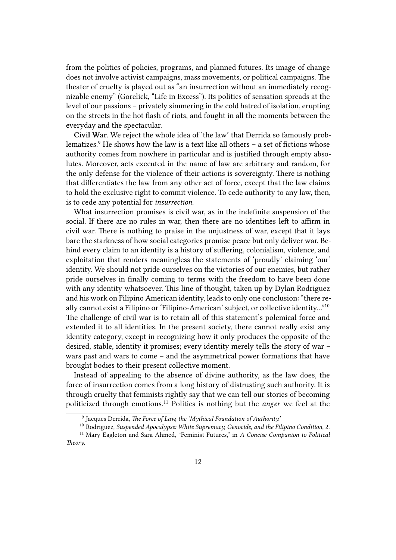from the politics of policies, programs, and planned futures. Its image of change does not involve activist campaigns, mass movements, or political campaigns. The theater of cruelty is played out as "an insurrection without an immediately recognizable enemy" (Gorelick, "Life in Excess"). Its politics of sensation spreads at the level of our passions – privately simmering in the cold hatred of isolation, erupting on the streets in the hot flash of riots, and fought in all the moments between the everyday and the spectacular.

**Civil War.** We reject the whole idea of 'the law' that Derrida so famously problematizes.<sup>9</sup> He shows how the law is a text like all others  $-$  a set of fictions whose authority comes from nowhere in particular and is justified through empty absolutes. Moreover, acts executed in the name of law are arbitrary and random, for the only defense for the violence of their actions is sovereignty. There is nothing that differentiates the law from any other act of force, except that the law claims to hold the exclusive right to commit violence. To cede authority to any law, then, is to cede any potential for *insurrection*.

What insurrection promises is civil war, as in the indefinite suspension of the social. If there are no rules in war, then there are no identities left to affirm in civil war. There is nothing to praise in the unjustness of war, except that it lays bare the starkness of how social categories promise peace but only deliver war. Behind every claim to an identity is a history of suffering, colonialism, violence, and exploitation that renders meaningless the statements of 'proudly' claiming 'our' identity. We should not pride ourselves on the victories of our enemies, but rather pride ourselves in finally coming to terms with the freedom to have been done with any identity whatsoever. This line of thought, taken up by Dylan Rodriguez and his work on Filipino American identity, leads to only one conclusion: "there really cannot exist a Filipino or 'Filipino-American' subject, or collective identity…"<sup>10</sup> The challenge of civil war is to retain all of this statement's polemical force and extended it to all identities. In the present society, there cannot really exist any identity category, except in recognizing how it only produces the opposite of the desired, stable, identity it promises; every identity merely tells the story of war – wars past and wars to come – and the asymmetrical power formations that have brought bodies to their present collective moment.

Instead of appealing to the absence of divine authority, as the law does, the force of insurrection comes from a long history of distrusting such authority. It is through cruelty that feminists rightly say that we can tell our stories of becoming politicized through emotions.<sup>11</sup> Politics is nothing but the *anger* we feel at the

<sup>9</sup> Jacques Derrida, *The Force of Law, the 'Mythical Foundation of Authority.'*

<sup>10</sup> Rodriguez, *Suspended Apocalypse: White Supremacy, Genocide, and the Filipino Condition*, 2. <sup>11</sup> Mary Eagleton and Sara Ahmed, "Feminist Futures," in *A Concise Companion to Political*

*Theory*.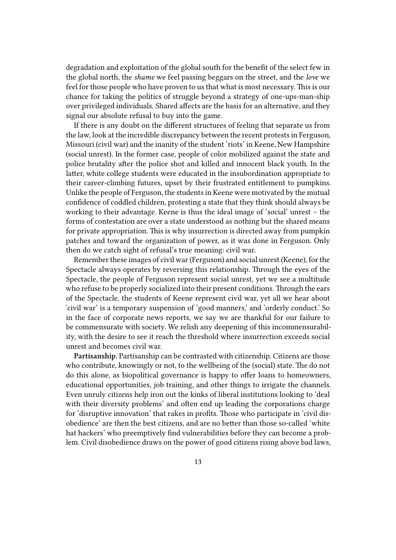degradation and exploitation of the global south for the benefit of the select few in the global north, the *shame* we feel passing beggars on the street, and the *love* we feel for those people who have proven to us that what is most necessary. This is our chance for taking the politics of struggle beyond a strategy of one-ups-man-ship over privileged individuals. Shared affects are the basis for an alternative, and they signal our absolute refusal to buy into the game.

If there is any doubt on the different structures of feeling that separate us from the law, look at the incredible discrepancy between the recent protests in Ferguson, Missouri (civil war) and the inanity of the student 'riots' in Keene, New Hampshire (social unrest). In the former case, people of color mobilized against the state and police brutality after the police shot and killed and innocent black youth. In the latter, white college students were educated in the insubordination appropriate to their career-climbing futures, upset by their frustrated entitlement to pumpkins. Unlike the people of Ferguson, the students in Keene were motivated by the mutual confidence of coddled children, protesting a state that they think should always be working to their advantage. Keene is thus the ideal image of 'social' unrest – the forms of contestation are over a state understood as nothing but the shared means for private appropriation. This is why insurrection is directed away from pumpkin patches and toward the organization of power, as it was done in Ferguson. Only then do we catch sight of refusal's true meaning: civil war.

Remember these images of civil war (Ferguson) and social unrest (Keene), for the Spectacle always operates by reversing this relationship. Through the eyes of the Spectacle, the people of Ferguson represent social unrest, yet we see a multitude who refuse to be properly socialized into their present conditions. Through the ears of the Spectacle, the students of Keene represent civil war, yet all we hear about 'civil war' is a temporary suspension of 'good manners,' and 'orderly conduct.' So in the face of corporate news reports, we say we are thankful for our failure to be commensurate with society. We relish any deepening of this incommensurability, with the desire to see it reach the threshold where insurrection exceeds social unrest and becomes civil war.

**Partisanship.** Partisanship can be contrasted with citizenship. Citizens are those who contribute, knowingly or not, to the wellbeing of the (social) state. The do not do this alone, as biopolitical governance is happy to offer loans to homeowners, educational opportunities, job training, and other things to irrigate the channels. Even unruly citizens help iron out the kinks of liberal institutions looking to 'deal with their diversity problems' and often end up leading the corporations charge for 'disruptive innovation' that rakes in profits. Those who participate in 'civil disobedience' are then the best citizens, and are no better than those so-called 'white hat hackers' who preemptively find vulnerabilities before they can become a problem. Civil disobedience draws on the power of good citizens rising above bad laws,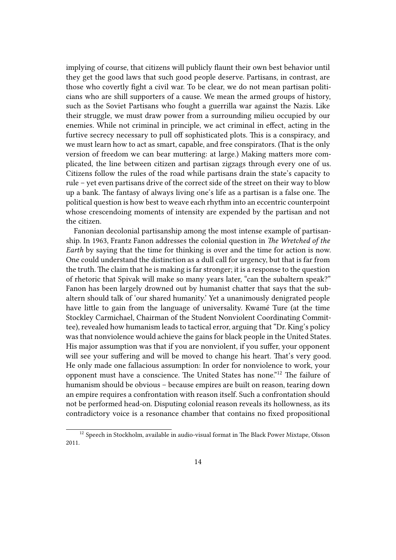implying of course, that citizens will publicly flaunt their own best behavior until they get the good laws that such good people deserve. Partisans, in contrast, are those who covertly fight a civil war. To be clear, we do not mean partisan politicians who are shill supporters of a cause. We mean the armed groups of history, such as the Soviet Partisans who fought a guerrilla war against the Nazis. Like their struggle, we must draw power from a surrounding milieu occupied by our enemies. While not criminal in principle, we act criminal in effect, acting in the furtive secrecy necessary to pull off sophisticated plots. This is a conspiracy, and we must learn how to act as smart, capable, and free conspirators. (That is the only version of freedom we can bear muttering: at large.) Making matters more complicated, the line between citizen and partisan zigzags through every one of us. Citizens follow the rules of the road while partisans drain the state's capacity to rule – yet even partisans drive of the correct side of the street on their way to blow up a bank. The fantasy of always living one's life as a partisan is a false one. The political question is how best to weave each rhythm into an eccentric counterpoint whose crescendoing moments of intensity are expended by the partisan and not the citizen.

Fanonian decolonial partisanship among the most intense example of partisanship. In 1963, Frantz Fanon addresses the colonial question in *The Wretched of the Earth* by saying that the time for thinking is over and the time for action is now. One could understand the distinction as a dull call for urgency, but that is far from the truth. The claim that he is making is far stronger; it is a response to the question of rhetoric that Spivak will make so many years later, "can the subaltern speak?" Fanon has been largely drowned out by humanist chatter that says that the subaltern should talk of 'our shared humanity.' Yet a unanimously denigrated people have little to gain from the language of universality. Kwamé Ture (at the time Stockley Carmichael, Chairman of the Student Nonviolent Coordinating Committee), revealed how humanism leads to tactical error, arguing that "Dr. King's policy was that nonviolence would achieve the gains for black people in the United States. His major assumption was that if you are nonviolent, if you suffer, your opponent will see your suffering and will be moved to change his heart. That's very good. He only made one fallacious assumption: In order for nonviolence to work, your opponent must have a conscience. The United States has none."<sup>12</sup> The failure of humanism should be obvious – because empires are built on reason, tearing down an empire requires a confrontation with reason itself. Such a confrontation should not be performed head-on. Disputing colonial reason reveals its hollowness, as its contradictory voice is a resonance chamber that contains no fixed propositional

<sup>&</sup>lt;sup>12</sup> Speech in Stockholm, available in audio-visual format in The Black Power Mixtape, Olsson 2011.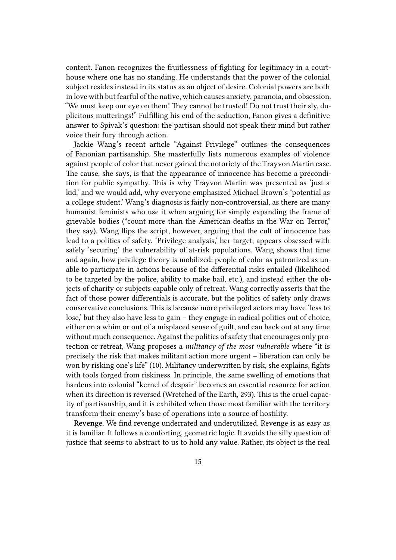content. Fanon recognizes the fruitlessness of fighting for legitimacy in a courthouse where one has no standing. He understands that the power of the colonial subject resides instead in its status as an object of desire. Colonial powers are both in love with but fearful of the native, which causes anxiety, paranoia, and obsession. "We must keep our eye on them! They cannot be trusted! Do not trust their sly, duplicitous mutterings!" Fulfilling his end of the seduction, Fanon gives a definitive answer to Spivak's question: the partisan should not speak their mind but rather voice their fury through action.

Jackie Wang's recent article "Against Privilege" outlines the consequences of Fanonian partisanship. She masterfully lists numerous examples of violence against people of color that never gained the notoriety of the Trayvon Martin case. The cause, she says, is that the appearance of innocence has become a precondition for public sympathy. This is why Trayvon Martin was presented as 'just a kid,' and we would add, why everyone emphasized Michael Brown's 'potential as a college student.' Wang's diagnosis is fairly non-controversial, as there are many humanist feminists who use it when arguing for simply expanding the frame of grievable bodies ("count more than the American deaths in the War on Terror," they say). Wang flips the script, however, arguing that the cult of innocence has lead to a politics of safety. 'Privilege analysis,' her target, appears obsessed with safely 'securing' the vulnerability of at-risk populations. Wang shows that time and again, how privilege theory is mobilized: people of color as patronized as unable to participate in actions because of the differential risks entailed (likelihood to be targeted by the police, ability to make bail, etc.), and instead either the objects of charity or subjects capable only of retreat. Wang correctly asserts that the fact of those power differentials is accurate, but the politics of safety only draws conservative conclusions. This is because more privileged actors may have 'less to lose,' but they also have less to gain – they engage in radical politics out of choice, either on a whim or out of a misplaced sense of guilt, and can back out at any time without much consequence. Against the politics of safety that encourages only protection or retreat, Wang proposes a *militancy of the most vulnerable* where "it is precisely the risk that makes militant action more urgent – liberation can only be won by risking one's life" (10). Militancy underwritten by risk, she explains, fights with tools forged from riskiness. In principle, the same swelling of emotions that hardens into colonial "kernel of despair" becomes an essential resource for action when its direction is reversed (Wretched of the Earth, 293). This is the cruel capacity of partisanship, and it is exhibited when those most familiar with the territory transform their enemy's base of operations into a source of hostility.

**Revenge.** We find revenge underrated and underutilized. Revenge is as easy as it is familiar. It follows a comforting, geometric logic. It avoids the silly question of justice that seems to abstract to us to hold any value. Rather, its object is the real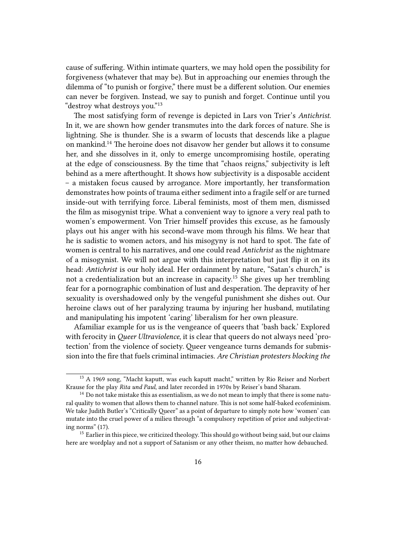cause of suffering. Within intimate quarters, we may hold open the possibility for forgiveness (whatever that may be). But in approaching our enemies through the dilemma of "to punish or forgive," there must be a different solution. Our enemies can never be forgiven. Instead, we say to punish and forget. Continue until you "destroy what destroys you."<sup>13</sup>

The most satisfying form of revenge is depicted in Lars von Trier's *Antichrist*. In it, we are shown how gender transmutes into the dark forces of nature. She is lightning. She is thunder. She is a swarm of locusts that descends like a plague on mankind.<sup>14</sup> The heroine does not disavow her gender but allows it to consume her, and she dissolves in it, only to emerge uncompromising hostile, operating at the edge of consciousness. By the time that "chaos reigns," subjectivity is left behind as a mere afterthought. It shows how subjectivity is a disposable accident – a mistaken focus caused by arrogance. More importantly, her transformation demonstrates how points of trauma either sediment into a fragile self or are turned inside-out with terrifying force. Liberal feminists, most of them men, dismissed the film as misogynist tripe. What a convenient way to ignore a very real path to women's empowerment. Von Trier himself provides this excuse, as he famously plays out his anger with his second-wave mom through his films. We hear that he is sadistic to women actors, and his misogyny is not hard to spot. The fate of women is central to his narratives, and one could read *Antichrist* as the nightmare of a misogynist. We will not argue with this interpretation but just flip it on its head: *Antichrist* is our holy ideal. Her ordainment by nature, "Satan's church," is not a credentialization but an increase in capacity.<sup>15</sup> She gives up her trembling fear for a pornographic combination of lust and desperation. The depravity of her sexuality is overshadowed only by the vengeful punishment she dishes out. Our heroine claws out of her paralyzing trauma by injuring her husband, mutilating and manipulating his impotent 'caring' liberalism for her own pleasure.

Afamiliar example for us is the vengeance of queers that 'bash back.' Explored with ferocity in *Queer Ultraviolence*, it is clear that queers do not always need 'protection' from the violence of society. Queer vengeance turns demands for submission into the fire that fuels criminal intimacies. *Are Christian protesters blocking the*

<sup>&</sup>lt;sup>13</sup> A 1969 song, "Macht kaputt, was euch kaputt macht," written by Rio Reiser and Norbert Krause for the play *Rita und Paul*, and later recorded in 1970s by Reiser's band Sharam.

 $14$  Do not take mistake this as essentialism, as we do not mean to imply that there is some natural quality to women that allows them to channel nature. This is not some half-baked ecofeminism. We take Judith Butler's "Critically Queer" as a point of departure to simply note how 'women' can mutate into the cruel power of a milieu through "a compulsory repetition of prior and subjectivating norms" (17).

<sup>&</sup>lt;sup>15</sup> Earlier in this piece, we criticized theology. This should go without being said, but our claims here are wordplay and not a support of Satanism or any other theism, no matter how debauched.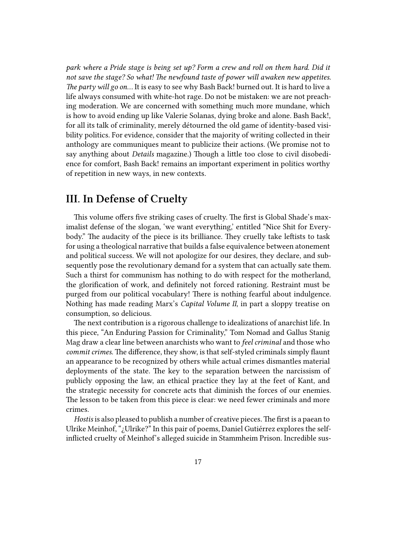*park where a Pride stage is being set up? Form a crew and roll on them hard. Did it not save the stage? So what! The newfound taste of power will awaken new appetites. The party will go on…* It is easy to see why Bash Back! burned out. It is hard to live a life always consumed with white-hot rage. Do not be mistaken: we are not preaching moderation. We are concerned with something much more mundane, which is how to avoid ending up like Valerie Solanas, dying broke and alone. Bash Back!, for all its talk of criminality, merely détourned the old game of identity-based visibility politics. For evidence, consider that the majority of writing collected in their anthology are communiques meant to publicize their actions. (We promise not to say anything about *Details* magazine.) Though a little too close to civil disobedience for comfort, Bash Back! remains an important experiment in politics worthy of repetition in new ways, in new contexts.

### **III. In Defense of Cruelty**

This volume offers five striking cases of cruelty. The first is Global Shade's maximalist defense of the slogan, 'we want everything,' entitled "Nice Shit for Everybody." The audacity of the piece is its brilliance. They cruelly take leftists to task for using a theological narrative that builds a false equivalence between atonement and political success. We will not apologize for our desires, they declare, and subsequently pose the revolutionary demand for a system that can actually sate them. Such a thirst for communism has nothing to do with respect for the motherland, the glorification of work, and definitely not forced rationing. Restraint must be purged from our political vocabulary! There is nothing fearful about indulgence. Nothing has made reading Marx's *Capital Volume II*, in part a sloppy treatise on consumption, so delicious.

The next contribution is a rigorous challenge to idealizations of anarchist life. In this piece, "An Enduring Passion for Criminality," Tom Nomad and Gallus Stanig Mag draw a clear line between anarchists who want to *feel criminal* and those who *commit crimes*. The difference, they show, is that self-styled criminals simply flaunt an appearance to be recognized by others while actual crimes dismantles material deployments of the state. The key to the separation between the narcissism of publicly opposing the law, an ethical practice they lay at the feet of Kant, and the strategic necessity for concrete acts that diminish the forces of our enemies. The lesson to be taken from this piece is clear: we need fewer criminals and more crimes.

*Hostis* is also pleased to publish a number of creative pieces.The first is a paean to Ulrike Meinhof, "¿Ulrike?" In this pair of poems, Daniel Gutiérrez explores the selfinflicted cruelty of Meinhof's alleged suicide in Stammheim Prison. Incredible sus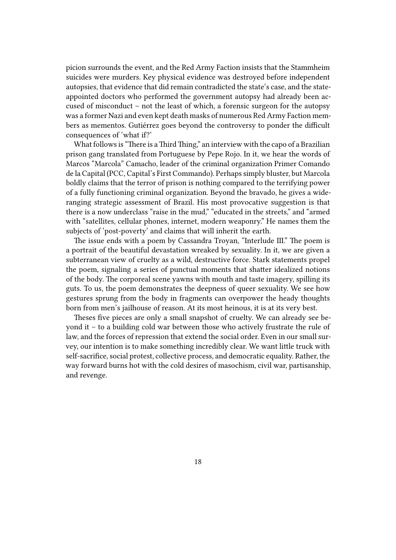picion surrounds the event, and the Red Army Faction insists that the Stammheim suicides were murders. Key physical evidence was destroyed before independent autopsies, that evidence that did remain contradicted the state's case, and the stateappointed doctors who performed the government autopsy had already been accused of misconduct – not the least of which, a forensic surgeon for the autopsy was a former Nazi and even kept death masks of numerous Red Army Faction members as mementos. Gutiérrez goes beyond the controversy to ponder the difficult consequences of 'what if?'

What follows is "There is a Third Thing," an interview with the capo of a Brazilian prison gang translated from Portuguese by Pepe Rojo. In it, we hear the words of Marcos "Marcola" Camacho, leader of the criminal organization Primer Comando de la Capital (PCC, Capital's First Commando). Perhaps simply bluster, but Marcola boldly claims that the terror of prison is nothing compared to the terrifying power of a fully functioning criminal organization. Beyond the bravado, he gives a wideranging strategic assessment of Brazil. His most provocative suggestion is that there is a now underclass "raise in the mud," "educated in the streets," and "armed with "satellites, cellular phones, internet, modern weaponry." He names them the subjects of 'post-poverty' and claims that will inherit the earth.

The issue ends with a poem by Cassandra Troyan, "Interlude III." The poem is a portrait of the beautiful devastation wreaked by sexuality. In it, we are given a subterranean view of cruelty as a wild, destructive force. Stark statements propel the poem, signaling a series of punctual moments that shatter idealized notions of the body. The corporeal scene yawns with mouth and taste imagery, spilling its guts. To us, the poem demonstrates the deepness of queer sexuality. We see how gestures sprung from the body in fragments can overpower the heady thoughts born from men's jailhouse of reason. At its most heinous, it is at its very best.

Theses five pieces are only a small snapshot of cruelty. We can already see beyond it – to a building cold war between those who actively frustrate the rule of law, and the forces of repression that extend the social order. Even in our small survey, our intention is to make something incredibly clear. We want little truck with self-sacrifice, social protest, collective process, and democratic equality. Rather, the way forward burns hot with the cold desires of masochism, civil war, partisanship, and revenge.